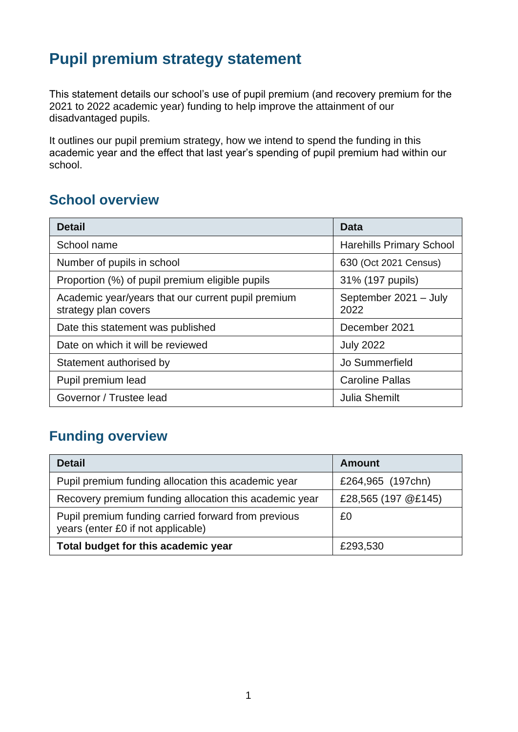# **Pupil premium strategy statement**

This statement details our school's use of pupil premium (and recovery premium for the 2021 to 2022 academic year) funding to help improve the attainment of our disadvantaged pupils.

It outlines our pupil premium strategy, how we intend to spend the funding in this academic year and the effect that last year's spending of pupil premium had within our school.

### **School overview**

| <b>Detail</b>                                                              | Data                            |
|----------------------------------------------------------------------------|---------------------------------|
| School name                                                                | <b>Harehills Primary School</b> |
| Number of pupils in school                                                 | 630 (Oct 2021 Census)           |
| Proportion (%) of pupil premium eligible pupils                            | 31% (197 pupils)                |
| Academic year/years that our current pupil premium<br>strategy plan covers | September 2021 - July<br>2022   |
| Date this statement was published                                          | December 2021                   |
| Date on which it will be reviewed                                          | <b>July 2022</b>                |
| Statement authorised by                                                    | Jo Summerfield                  |
| Pupil premium lead                                                         | <b>Caroline Pallas</b>          |
| Governor / Trustee lead                                                    | <b>Julia Shemilt</b>            |

# **Funding overview**

| <b>Detail</b>                                                                             | <b>Amount</b>       |
|-------------------------------------------------------------------------------------------|---------------------|
| Pupil premium funding allocation this academic year                                       | £264,965 (197chn)   |
| Recovery premium funding allocation this academic year                                    | £28,565 (197 @£145) |
| Pupil premium funding carried forward from previous<br>years (enter £0 if not applicable) | £0                  |
| Total budget for this academic year                                                       | £293,530            |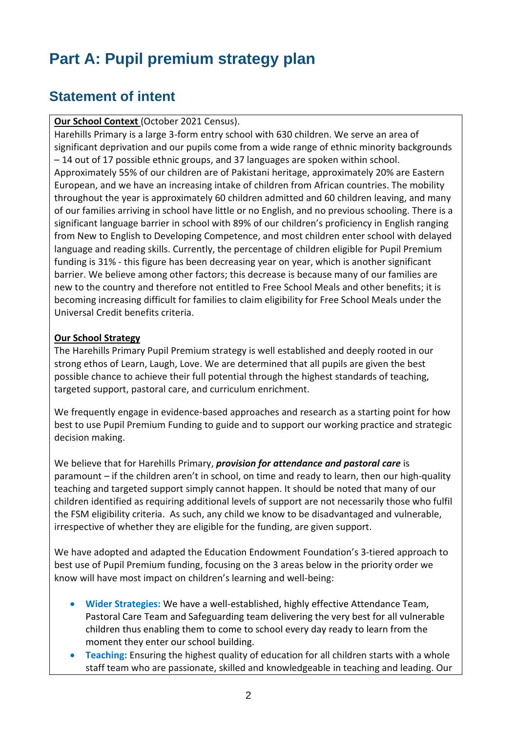# **Part A: Pupil premium strategy plan**

## **Statement of intent**

**Our School Context** (October 2021 Census).

Harehills Primary is a large 3-form entry school with 630 children. We serve an area of significant deprivation and our pupils come from a wide range of ethnic minority backgrounds – 14 out of 17 possible ethnic groups, and 37 languages are spoken within school. Approximately 55% of our children are of Pakistani heritage, approximately 20% are Eastern European, and we have an increasing intake of children from African countries. The mobility throughout the year is approximately 60 children admitted and 60 children leaving, and many of our families arriving in school have little or no English, and no previous schooling. There is a significant language barrier in school with 89% of our children's proficiency in English ranging from New to English to Developing Competence, and most children enter school with delayed language and reading skills. Currently, the percentage of children eligible for Pupil Premium funding is 31% - this figure has been decreasing year on year, which is another significant barrier. We believe among other factors; this decrease is because many of our families are new to the country and therefore not entitled to Free School Meals and other benefits; it is becoming increasing difficult for families to claim eligibility for Free School Meals under the Universal Credit benefits criteria.

#### **Our School Strategy**

The Harehills Primary Pupil Premium strategy is well established and deeply rooted in our strong ethos of Learn, Laugh, Love. We are determined that all pupils are given the best possible chance to achieve their full potential through the highest standards of teaching, targeted support, pastoral care, and curriculum enrichment.

We frequently engage in evidence-based approaches and research as a starting point for how best to use Pupil Premium Funding to guide and to support our working practice and strategic decision making.

We believe that for Harehills Primary, *provision for attendance and pastoral care* is paramount – if the children aren't in school, on time and ready to learn, then our high-quality teaching and targeted support simply cannot happen. It should be noted that many of our children identified as requiring additional levels of support are not necessarily those who fulfil the FSM eligibility criteria. As such, any child we know to be disadvantaged and vulnerable, irrespective of whether they are eligible for the funding, are given support.

We have adopted and adapted the Education Endowment Foundation's 3-tiered approach to best use of Pupil Premium funding, focusing on the 3 areas below in the priority order we know will have most impact on children's learning and well-being:

- **Wider Strategies:** We have a well-established, highly effective Attendance Team, Pastoral Care Team and Safeguarding team delivering the very best for all vulnerable children thus enabling them to come to school every day ready to learn from the moment they enter our school building.
- **Teaching:** Ensuring the highest quality of education for all children starts with a whole staff team who are passionate, skilled and knowledgeable in teaching and leading. Our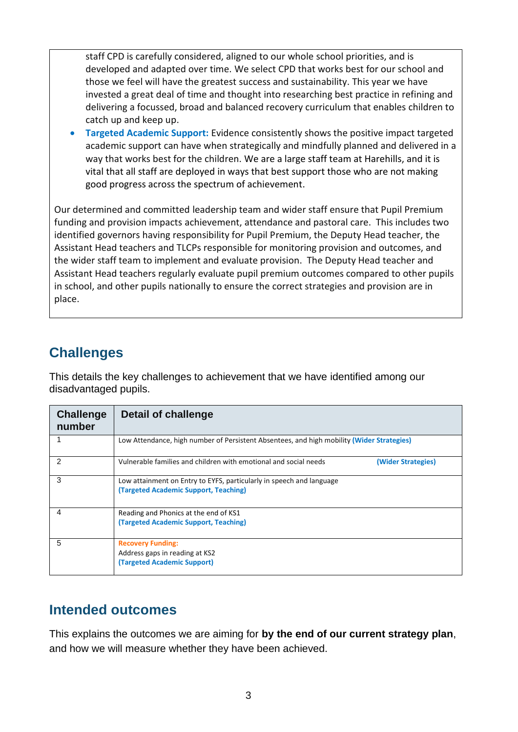staff CPD is carefully considered, aligned to our whole school priorities, and is developed and adapted over time. We select CPD that works best for our school and those we feel will have the greatest success and sustainability. This year we have invested a great deal of time and thought into researching best practice in refining and delivering a focussed, broad and balanced recovery curriculum that enables children to catch up and keep up.

• **Targeted Academic Support:** Evidence consistently shows the positive impact targeted academic support can have when strategically and mindfully planned and delivered in a way that works best for the children. We are a large staff team at Harehills, and it is vital that all staff are deployed in ways that best support those who are not making good progress across the spectrum of achievement.

Our determined and committed leadership team and wider staff ensure that Pupil Premium funding and provision impacts achievement, attendance and pastoral care. This includes two identified governors having responsibility for Pupil Premium, the Deputy Head teacher, the Assistant Head teachers and TLCPs responsible for monitoring provision and outcomes, and the wider staff team to implement and evaluate provision. The Deputy Head teacher and Assistant Head teachers regularly evaluate pupil premium outcomes compared to other pupils in school, and other pupils nationally to ensure the correct strategies and provision are in place.

### **Challenges**

This details the key challenges to achievement that we have identified among our disadvantaged pupils.

| <b>Challenge</b><br>number | Detail of challenge                                                                                           |
|----------------------------|---------------------------------------------------------------------------------------------------------------|
|                            | Low Attendance, high number of Persistent Absentees, and high mobility (Wider Strategies)                     |
| 2                          | Vulnerable families and children with emotional and social needs<br>(Wider Strategies)                        |
| 3                          | Low attainment on Entry to EYFS, particularly in speech and language<br>(Targeted Academic Support, Teaching) |
| 4                          | Reading and Phonics at the end of KS1<br>(Targeted Academic Support, Teaching)                                |
| 5                          | <b>Recovery Funding:</b><br>Address gaps in reading at KS2<br>(Targeted Academic Support)                     |

### **Intended outcomes**

This explains the outcomes we are aiming for **by the end of our current strategy plan**, and how we will measure whether they have been achieved.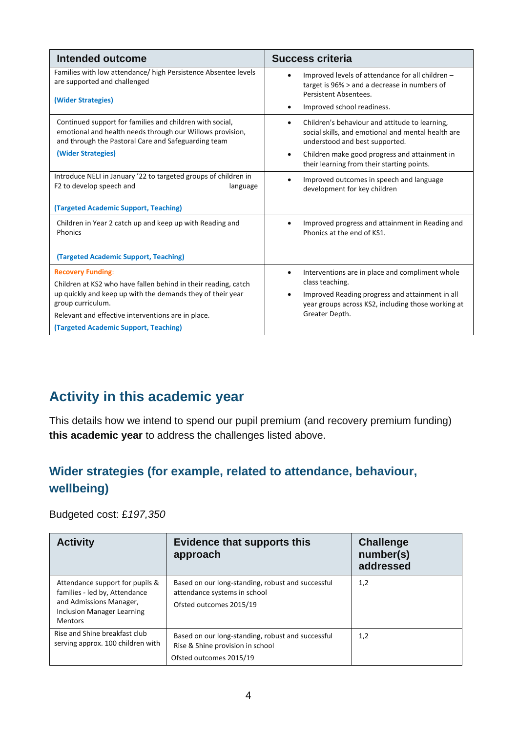| <b>Intended outcome</b>                                                                                                                                                                                                                                                      | <b>Success criteria</b>                                                                                                                                                                                                                                         |
|------------------------------------------------------------------------------------------------------------------------------------------------------------------------------------------------------------------------------------------------------------------------------|-----------------------------------------------------------------------------------------------------------------------------------------------------------------------------------------------------------------------------------------------------------------|
| Families with low attendance/ high Persistence Absentee levels<br>are supported and challenged<br>(Wider Strategies)                                                                                                                                                         | Improved levels of attendance for all children -<br>target is 96% > and a decrease in numbers of<br>Persistent Absentees.<br>Improved school readiness.                                                                                                         |
| Continued support for families and children with social,<br>emotional and health needs through our Willows provision,<br>and through the Pastoral Care and Safeguarding team<br>(Wider Strategies)                                                                           | Children's behaviour and attitude to learning,<br>$\bullet$<br>social skills, and emotional and mental health are<br>understood and best supported.<br>Children make good progress and attainment in<br>$\bullet$<br>their learning from their starting points. |
| Introduce NELI in January '22 to targeted groups of children in<br>F2 to develop speech and<br>language<br>(Targeted Academic Support, Teaching)                                                                                                                             | Improved outcomes in speech and language<br>$\bullet$<br>development for key children                                                                                                                                                                           |
| Children in Year 2 catch up and keep up with Reading and<br>Phonics<br>(Targeted Academic Support, Teaching)                                                                                                                                                                 | Improved progress and attainment in Reading and<br>Phonics at the end of KS1.                                                                                                                                                                                   |
| <b>Recovery Funding:</b><br>Children at KS2 who have fallen behind in their reading, catch<br>up quickly and keep up with the demands they of their year<br>group curriculum.<br>Relevant and effective interventions are in place.<br>(Targeted Academic Support, Teaching) | Interventions are in place and compliment whole<br>$\bullet$<br>class teaching.<br>Improved Reading progress and attainment in all<br>$\bullet$<br>year groups across KS2, including those working at<br>Greater Depth.                                         |

# **Activity in this academic year**

This details how we intend to spend our pupil premium (and recovery premium funding) **this academic year** to address the challenges listed above.

#### **Wider strategies (for example, related to attendance, behaviour, wellbeing)**

Budgeted cost: £*197,350*

| <b>Activity</b>                                                                                                                                    | <b>Evidence that supports this</b><br>approach                                                                   | <b>Challenge</b><br>number(s)<br>addressed |
|----------------------------------------------------------------------------------------------------------------------------------------------------|------------------------------------------------------------------------------------------------------------------|--------------------------------------------|
| Attendance support for pupils &<br>families - led by, Attendance<br>and Admissions Manager,<br><b>Inclusion Manager Learning</b><br><b>Mentors</b> | Based on our long-standing, robust and successful<br>attendance systems in school<br>Ofsted outcomes 2015/19     | 1,2                                        |
| Rise and Shine breakfast club<br>serving approx. 100 children with                                                                                 | Based on our long-standing, robust and successful<br>Rise & Shine provision in school<br>Ofsted outcomes 2015/19 | 1,2                                        |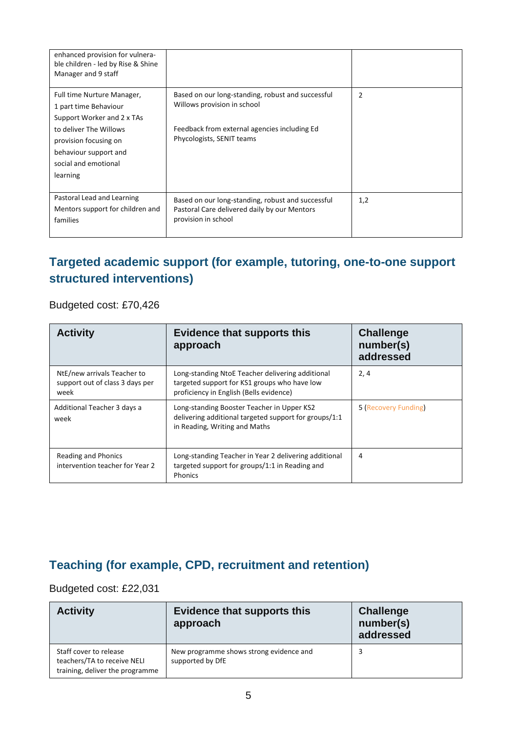| enhanced provision for vulnera-<br>ble children - led by Rise & Shine<br>Manager and 9 staff                                                                                                      |                                                                                                                                                               |                |
|---------------------------------------------------------------------------------------------------------------------------------------------------------------------------------------------------|---------------------------------------------------------------------------------------------------------------------------------------------------------------|----------------|
| Full time Nurture Manager,<br>1 part time Behaviour<br>Support Worker and 2 x TAs<br>to deliver The Willows<br>provision focusing on<br>behaviour support and<br>social and emotional<br>learning | Based on our long-standing, robust and successful<br>Willows provision in school<br>Feedback from external agencies including Ed<br>Phycologists, SENIT teams | $\overline{2}$ |
| Pastoral Lead and Learning<br>Mentors support for children and<br>families                                                                                                                        | Based on our long-standing, robust and successful<br>Pastoral Care delivered daily by our Mentors<br>provision in school                                      | 1,2            |

#### **Targeted academic support (for example, tutoring, one-to-one support structured interventions)**

Budgeted cost: £70,426

| <b>Activity</b>                                                        | <b>Evidence that supports this</b><br>approach                                                                                              | <b>Challenge</b><br>number(s)<br>addressed |
|------------------------------------------------------------------------|---------------------------------------------------------------------------------------------------------------------------------------------|--------------------------------------------|
| NtE/new arrivals Teacher to<br>support out of class 3 days per<br>week | Long-standing NtoE Teacher delivering additional<br>targeted support for KS1 groups who have low<br>proficiency in English (Bells evidence) | 2,4                                        |
| Additional Teacher 3 days a<br>week                                    | Long-standing Booster Teacher in Upper KS2<br>delivering additional targeted support for groups/1:1<br>in Reading, Writing and Maths        | 5 (Recovery Funding)                       |
| Reading and Phonics<br>intervention teacher for Year 2                 | Long-standing Teacher in Year 2 delivering additional<br>targeted support for groups/1:1 in Reading and<br>Phonics                          | 4                                          |

#### **Teaching (for example, CPD, recruitment and retention)**

#### Budgeted cost: £22,031

| <b>Activity</b>                                                                          | <b>Evidence that supports this</b><br>approach              | <b>Challenge</b><br>number(s)<br>addressed |
|------------------------------------------------------------------------------------------|-------------------------------------------------------------|--------------------------------------------|
| Staff cover to release<br>teachers/TA to receive NELI<br>training, deliver the programme | New programme shows strong evidence and<br>supported by DfE |                                            |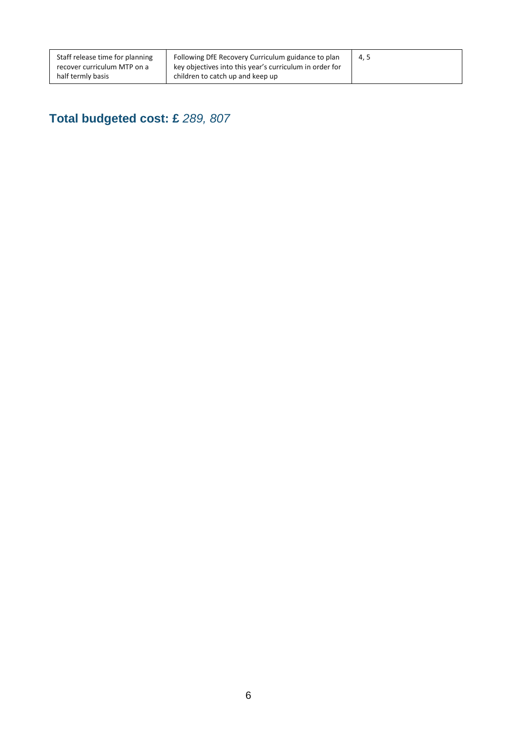# **Total budgeted cost: £** *289, 807*